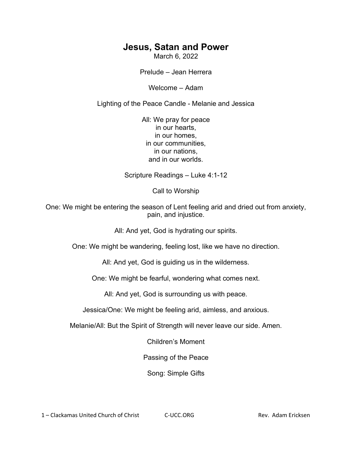## **Jesus, Satan and Power**

March 6, 2022

Prelude – Jean Herrera

Welcome – Adam

Lighting of the Peace Candle - Melanie and Jessica

All: We pray for peace in our hearts, in our homes, in our communities, in our nations, and in our worlds.

Scripture Readings – Luke 4:1-12

Call to Worship

One: We might be entering the season of Lent feeling arid and dried out from anxiety, pain, and injustice.

All: And yet, God is hydrating our spirits.

One: We might be wandering, feeling lost, like we have no direction.

All: And yet, God is guiding us in the wilderness.

One: We might be fearful, wondering what comes next.

All: And yet, God is surrounding us with peace.

Jessica/One: We might be feeling arid, aimless, and anxious.

Melanie/All: But the Spirit of Strength will never leave our side. Amen.

Children's Moment

Passing of the Peace

Song: Simple Gifts

1 – Clackamas United Church of Christ C-UCC.ORG Rev. Adam Ericksen